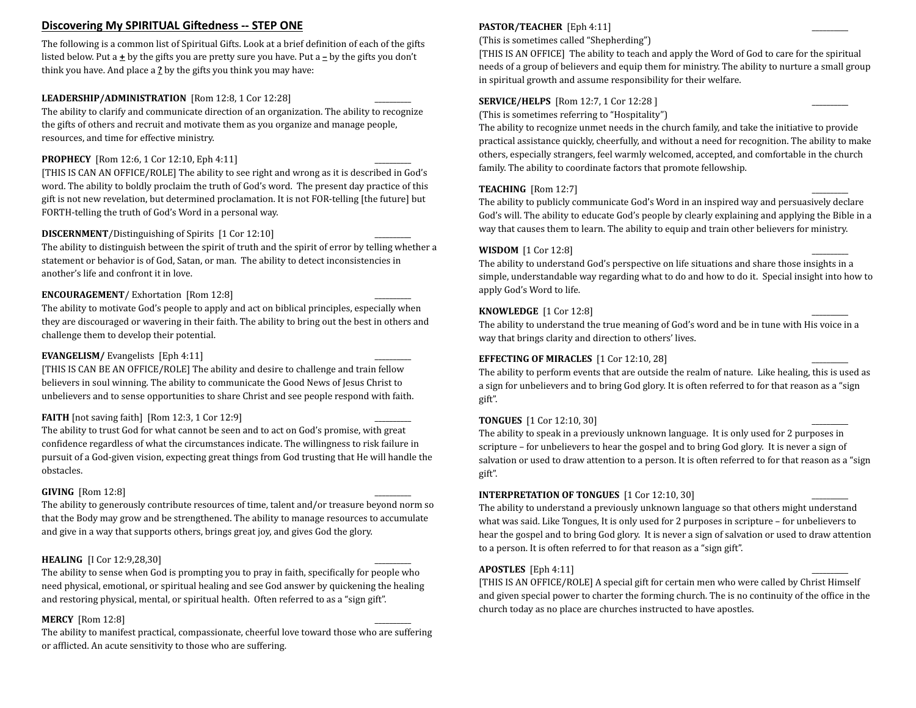# **Discovering My SPIRITUAL Giftedness -- STEP ONE**

The following is a common list of Spiritual Gifts. Look at a brief definition of each of the gifts listed below. Put a  $\pm$  by the gifts you are pretty sure you have. Put a  $\pm$  by the gifts you don't think you have. And place a 2 by the gifts you think you may have:

# LEADERSHIP/ADMINISTRATION [Rom 12:8, 1 Cor 12:28]

The ability to clarify and communicate direction of an organization. The ability to recognize the gifts of others and recruit and motivate them as you organize and manage people, resources, and time for effective ministry.

# **PROPHECY** [Rom 12:6, 1 Cor 12:10, Eph 4:11]

[THIS IS CAN AN OFFICE/ROLE] The ability to see right and wrong as it is described in God's word. The ability to boldly proclaim the truth of God's word. The present day practice of this gift is not new revelation, but determined proclamation. It is not FOR-telling [the future] but FORTH-telling the truth of God's Word in a personal way.

## **DISCERNMENT**/Distinguishing of Spirits [1 Cor 12:10]

The ability to distinguish between the spirit of truth and the spirit of error by telling whether a statement or behavior is of God, Satan, or man. The ability to detect inconsistencies in another's life and confront it in love.

# **ENCOURAGEMENT**/ Exhortation [Rom 12:8]

The ability to motivate God's people to apply and act on biblical principles, especially when they are discouraged or wavering in their faith. The ability to bring out the best in others and challenge them to develop their potential.

# **EVANGELISM/** Evangelists [Eph 4:11]

[THIS IS CAN BE AN OFFICE/ROLE] The ability and desire to challenge and train fellow believers in soul winning. The ability to communicate the Good News of Jesus Christ to unbelievers and to sense opportunities to share Christ and see people respond with faith.

## **FAITH** [not saving faith]  $\left[$  Rom 12:3, 1 Cor 12:9]

The ability to trust God for what cannot be seen and to act on God's promise, with great confidence regardless of what the circumstances indicate. The willingness to risk failure in pursuit of a God-given vision, expecting great things from God trusting that He will handle the obstacles.

## **GIVING** [Rom 12:8]

The ability to generously contribute resources of time, talent and/or treasure beyond norm so that the Body may grow and be strengthened. The ability to manage resources to accumulate and give in a way that supports others, brings great joy, and gives God the glory.

# **HEALING** [I Cor 12:9,28,30]

The ability to sense when God is prompting you to pray in faith, specifically for people who need physical, emotional, or spiritual healing and see God answer by quickening the healing and restoring physical, mental, or spiritual health. Often referred to as a "sign gift".

## **MERCY** [Rom 12:8]

The ability to manifest practical, compassionate, cheerful love toward those who are suffering or afflicted. An acute sensitivity to those who are suffering.

# **PASTOR/TEACHER** [Eph 4:11]

(This is sometimes called "Shepherding")

[THIS IS AN OFFICE] The ability to teach and apply the Word of God to care for the spiritual needs of a group of believers and equip them for ministry. The ability to nurture a small group in spiritual growth and assume responsibility for their welfare.

# **SERVICE/HELPS** [Rom 12:7, 1 Cor 12:28 ]

(This is sometimes referring to "Hospitality")

The ability to recognize unmet needs in the church family, and take the initiative to provide practical assistance quickly, cheerfully, and without a need for recognition. The ability to make others, especially strangers, feel warmly welcomed, accepted, and comfortable in the church family. The ability to coordinate factors that promote fellowship.

# **TEACHING** [Rom 12:7]

The ability to publicly communicate God's Word in an inspired way and persuasively declare God's will. The ability to educate God's people by clearly explaining and applying the Bible in a way that causes them to learn. The ability to equip and train other believers for ministry.

# **WISDOM** [1 Cor 12:8]

The ability to understand God's perspective on life situations and share those insights in a simple, understandable way regarding what to do and how to do it. Special insight into how to apply God's Word to life.

#### **KNOWLEDGE** [1 Cor 12:8]

The ability to understand the true meaning of God's word and be in tune with His voice in a way that brings clarity and direction to others' lives.

#### **EFFECTING OF MIRACLES** [1 Cor 12:10, 28]

The ability to perform events that are outside the realm of nature. Like healing, this is used as a sign for unbelievers and to bring God glory. It is often referred to for that reason as a "sign gift".

#### **TONGUES** [1 Cor 12:10, 30]

The ability to speak in a previously unknown language. It is only used for 2 purposes in scripture – for unbelievers to hear the gospel and to bring God glory. It is never a sign of salvation or used to draw attention to a person. It is often referred to for that reason as a "sign gift".

#### **INTERPRETATION OF TONGUES** [1 Cor 12:10, 30]

The ability to understand a previously unknown language so that others might understand what was said. Like Tongues, It is only used for 2 purposes in scripture  $-$  for unbelievers to hear the gospel and to bring God glory. It is never a sign of salvation or used to draw attention to a person. It is often referred to for that reason as a "sign gift".

#### $\bf APOSTLES$   $[\rm Eph 4:11]$

[THIS IS AN OFFICE/ROLE] A special gift for certain men who were called by Christ Himself and given special power to charter the forming church. The is no continuity of the office in the church today as no place are churches instructed to have apostles.